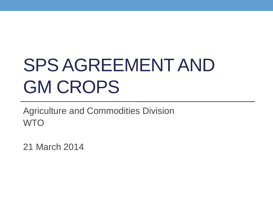# SPS AGREEMENT AND GM CROPS

Agriculture and Commodities Division **WTO** 

21 March 2014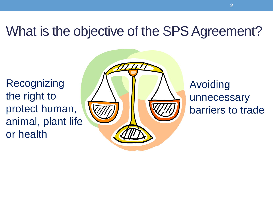#### What is the objective of the SPS Agreement?

**Recognizing** the right to protect human, animal, plant life or health



#### Avoiding unnecessary barriers to trade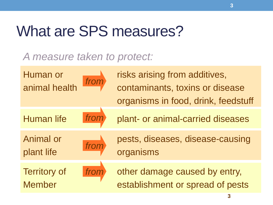# What are SPS measures?

#### *A measure taken to protect:*



**3**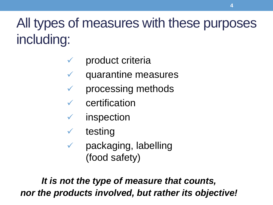# All types of measures with these purposes including:

- product criteria
- $\checkmark$  quarantine measures
- $\checkmark$  processing methods
- $\checkmark$  certification
- $\checkmark$  inspection
- $\checkmark$  testing
- $\checkmark$  packaging, labelling (food safety)

*It is not the type of measure that counts, nor the products involved, but rather its objective!*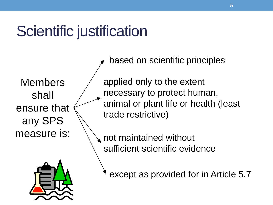# Scientific justification

Members shall ensure that any SPS measure is:



applied only to the extent necessary to protect human, animal or plant life or health (least trade restrictive) based on scientific principles

not maintained without sufficient scientific evidence

except as provided for in Article 5.7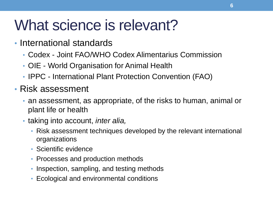# What science is relevant?

- International standards
	- Codex Joint FAO/WHO Codex Alimentarius Commission
	- OIE World Organisation for Animal Health
	- IPPC International Plant Protection Convention (FAO)
- Risk assessment
	- an assessment, as appropriate, of the risks to human, animal or plant life or health
	- taking into account, *inter alia,*
		- Risk assessment techniques developed by the relevant international organizations
		- Scientific evidence
		- Processes and production methods
		- Inspection, sampling, and testing methods
		- Ecological and environmental conditions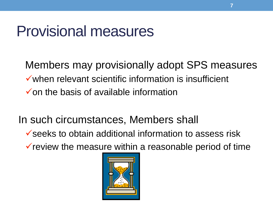# Provisional measures

Members may provisionally adopt SPS measures  $\checkmark$  when relevant scientific information is insufficient  $\checkmark$  on the basis of available information

In such circumstances, Members shall

 $\checkmark$  seeks to obtain additional information to assess risk

 $\checkmark$  review the measure within a reasonable period of time

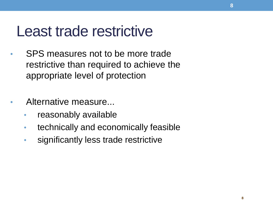### Least trade restrictive

- SPS measures not to be more trade restrictive than required to achieve the appropriate level of protection
- Alternative measure...
	- reasonably available
	- technically and economically feasible
	- significantly less trade restrictive

**8**